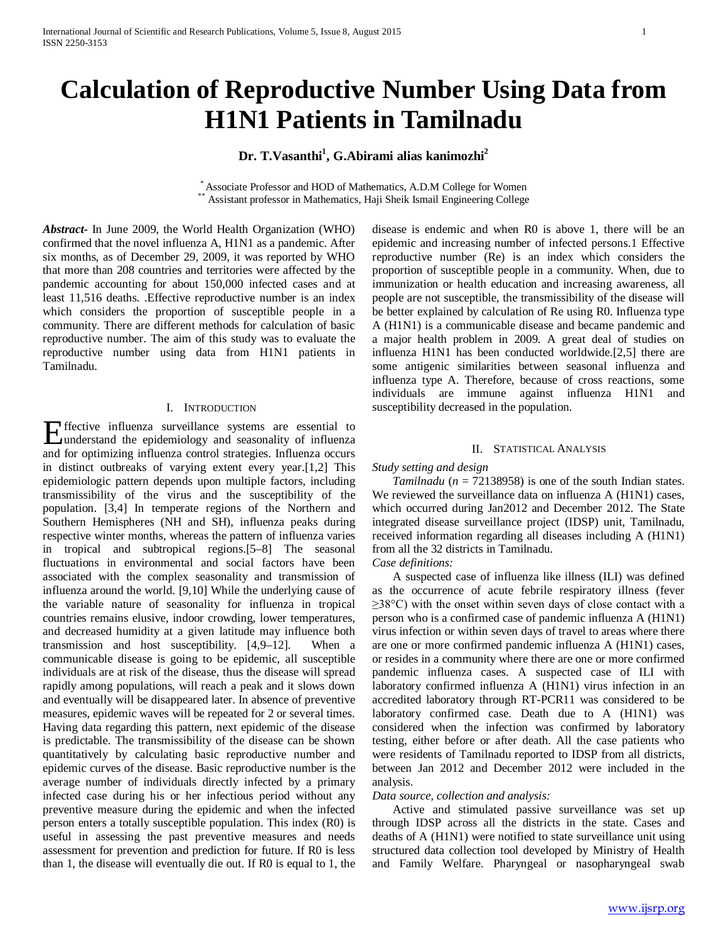# **Calculation of Reproductive Number Using Data from H1N1 Patients in Tamilnadu**

## Dr. T.Vasanthi<sup>1</sup>, G.Abirami alias kanimozhi<sup>2</sup>

\* Associate Professor and HOD of Mathematics, A.D.M College for Women \*\* Assistant professor in Mathematics, Haji Sheik Ismail Engineering College

*Abstract***-** In June 2009, the World Health Organization (WHO) confirmed that the novel influenza A, H1N1 as a pandemic. After six months, as of December 29, 2009, it was reported by WHO that more than 208 countries and territories were affected by the pandemic accounting for about 150,000 infected cases and at least 11,516 deaths. .Effective reproductive number is an index which considers the proportion of susceptible people in a community. There are different methods for calculation of basic reproductive number. The aim of this study was to evaluate the reproductive number using data from H1N1 patients in Tamilnadu.

## I. INTRODUCTION

ffective influenza surveillance systems are essential to Effective influenza surveillance systems are essential to understand the epidemiology and seasonality of influenza and for optimizing influenza control strategies. Influenza occurs in distinct outbreaks of varying extent every year.[1,2] This epidemiologic pattern depends upon multiple factors, including transmissibility of the virus and the susceptibility of the population. [3,4] In temperate regions of the Northern and Southern Hemispheres (NH and SH), influenza peaks during respective winter months, whereas the pattern of influenza varies in tropical and subtropical regions.[5–8] The seasonal fluctuations in environmental and social factors have been associated with the complex seasonality and transmission of influenza around the world. [9,10] While the underlying cause of the variable nature of seasonality for influenza in tropical countries remains elusive, indoor crowding, lower temperatures, and decreased humidity at a given latitude may influence both transmission and host susceptibility. [4,9–12]. When a communicable disease is going to be epidemic, all susceptible individuals are at risk of the disease, thus the disease will spread rapidly among populations, will reach a peak and it slows down and eventually will be disappeared later. In absence of preventive measures, epidemic waves will be repeated for 2 or several times. Having data regarding this pattern, next epidemic of the disease is predictable. The transmissibility of the disease can be shown quantitatively by calculating basic reproductive number and epidemic curves of the disease. Basic reproductive number is the average number of individuals directly infected by a primary infected case during his or her infectious period without any preventive measure during the epidemic and when the infected person enters a totally susceptible population. This index (R0) is useful in assessing the past preventive measures and needs assessment for prevention and prediction for future. If R0 is less than 1, the disease will eventually die out. If R0 is equal to 1, the disease is endemic and when R0 is above 1, there will be an epidemic and increasing number of infected persons.1 Effective reproductive number (Re) is an index which considers the proportion of susceptible people in a community. When, due to immunization or health education and increasing awareness, all people are not susceptible, the transmissibility of the disease will be better explained by calculation of Re using R0. Influenza type A (H1N1) is a communicable disease and became pandemic and a major health problem in 2009. A great deal of studies on influenza H1N1 has been conducted worldwide.[2,5] there are some antigenic similarities between seasonal influenza and influenza type A. Therefore, because of cross reactions, some individuals are immune against influenza H1N1 and susceptibility decreased in the population.

## II. STATISTICAL ANALYSIS

## *Study setting and design*

*Tamilnadu* ( $n = 72138958$ ) is one of the south Indian states. We reviewed the surveillance data on influenza A (H1N1) cases, which occurred during Jan2012 and December 2012. The State integrated disease surveillance project (IDSP) unit, Tamilnadu, received information regarding all diseases including A (H1N1) from all the 32 districts in Tamilnadu.

## *Case definitions:*

A suspected case of influenza like illness (ILI) was defined as the occurrence of acute febrile respiratory illness (fever  $\geq$ 38°C) with the onset within seven days of close contact with a person who is a confirmed case of pandemic influenza A (H1N1) virus infection or within seven days of travel to areas where there are one or more confirmed pandemic influenza A (H1N1) cases, or resides in a community where there are one or more confirmed pandemic influenza cases. A suspected case of ILI with laboratory confirmed influenza A (H1N1) virus infection in an accredited laboratory through RT-PCR11 was considered to be laboratory confirmed case. Death due to A (H1N1) was considered when the infection was confirmed by laboratory testing, either before or after death. All the case patients who were residents of Tamilnadu reported to IDSP from all districts, between Jan 2012 and December 2012 were included in the analysis.

## *Data source, collection and analysis:*

Active and stimulated passive surveillance was set up through IDSP across all the districts in the state. Cases and deaths of A (H1N1) were notified to state surveillance unit using structured data collection tool developed by Ministry of Health and Family Welfare. Pharyngeal or nasopharyngeal swab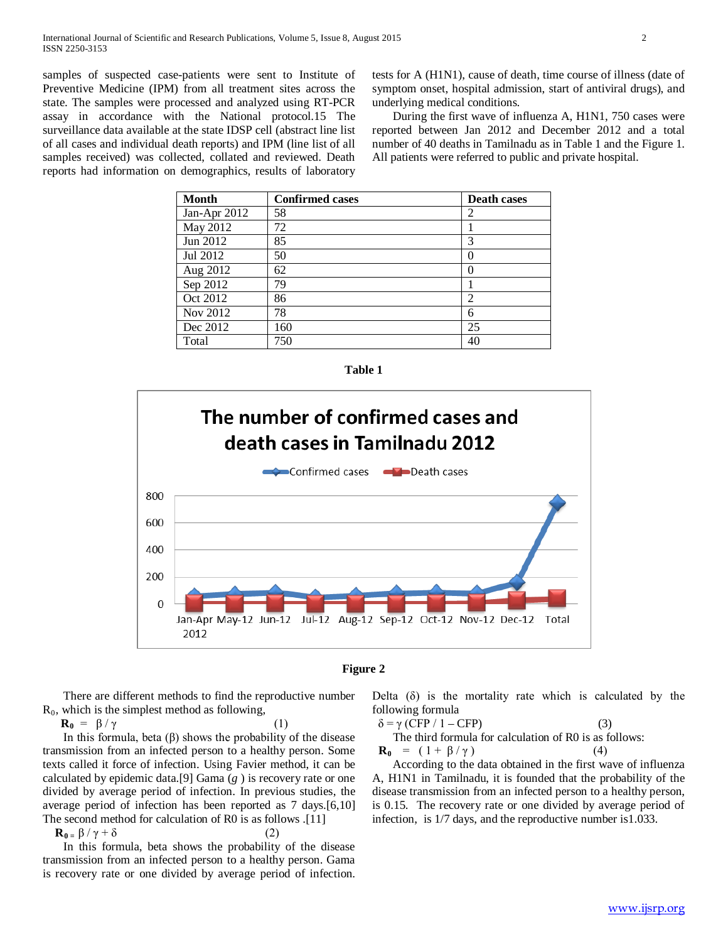samples of suspected case-patients were sent to Institute of Preventive Medicine (IPM) from all treatment sites across the state. The samples were processed and analyzed using RT-PCR assay in accordance with the National protocol.15 The surveillance data available at the state IDSP cell (abstract line list of all cases and individual death reports) and IPM (line list of all samples received) was collected, collated and reviewed. Death reports had information on demographics, results of laboratory

tests for A (H1N1), cause of death, time course of illness (date of symptom onset, hospital admission, start of antiviral drugs), and underlying medical conditions.

During the first wave of influenza A, H1N1, 750 cases were reported between Jan 2012 and December 2012 and a total number of 40 deaths in Tamilnadu as in Table 1 and the Figure 1. All patients were referred to public and private hospital.

| <b>Month</b>          | <b>Confirmed cases</b> | <b>Death cases</b> |
|-----------------------|------------------------|--------------------|
| Jan-Apr 2012          | 58                     | 2                  |
| May 2012              | 72                     |                    |
| Jun 2012              | 85                     | 3                  |
| Jul 2012              | 50                     | $\left( \right)$   |
| Aug 2012              | 62                     | $\theta$           |
| Sep $20\overline{12}$ | 79                     |                    |
| Oct 2012              | 86                     | $\overline{2}$     |
| Nov 2012              | 78                     | 6                  |
| Dec 2012              | 160                    | 25                 |
| Total                 | 750                    | 40                 |







There are different methods to find the reproductive number  $R_0$ , which is the simplest method as following,

 $\mathbf{R}_0 = \beta / \gamma$  (1)

In this formula, beta (β) shows the probability of the disease transmission from an infected person to a healthy person. Some texts called it force of infection. Using Favier method, it can be calculated by epidemic data.[9] Gama (*g* ) is recovery rate or one divided by average period of infection. In previous studies, the average period of infection has been reported as 7 days.[6,10] The second method for calculation of R0 is as follows .[11]

 $\mathbf{R}_{0} = \beta / \gamma + \delta$  (2)

In this formula, beta shows the probability of the disease transmission from an infected person to a healthy person. Gama is recovery rate or one divided by average period of infection. Delta  $(\delta)$  is the mortality rate which is calculated by the following formula

$$
\delta = \gamma \text{ (CFP / 1 - CFP)} \tag{3}
$$
  
The third formula for calculation of R0 is as follows:  

$$
\mathbf{R}_0 = (1 + \beta / \gamma) \tag{4}
$$

According to the data obtained in the first wave of influenza A, H1N1 in Tamilnadu, it is founded that the probability of the disease transmission from an infected person to a healthy person, is 0.15. The recovery rate or one divided by average period of infection, is 1/7 days, and the reproductive number is1.033.